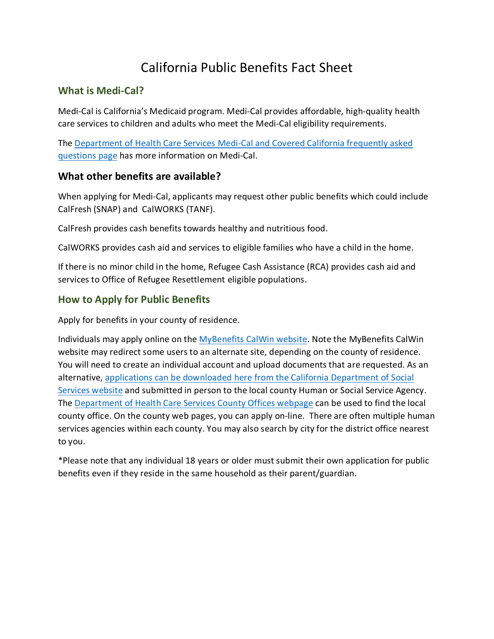# California Public Benefits Fact Sheet

#### **What is Medi-Cal?**

Medi-Cal is California's Medicaid program. Medi-Cal provides affordable, high-quality health care services to children and adults who meet the Medi-Cal eligibility requirements.

The [Department of Health Care Services Medi-Cal and Covered California frequently asked](https://www.dhcs.ca.gov/services/medi-cal/eligibility/Pages/Medi-Cal_CovCA_FAQ.aspx)  [questions page](https://www.dhcs.ca.gov/services/medi-cal/eligibility/Pages/Medi-Cal_CovCA_FAQ.aspx) has more information on Medi-Cal.

#### **What other benefits are available?**

When applying for Medi-Cal, applicants may request other public benefits which could include CalFresh (SNAP) and CalWORKS (TANF).

CalFresh provides cash benefits towards healthy and nutritious food.

CalWORKS provides cash aid and services to eligible families who have a child in the home.

If there is no minor child in the home, Refugee Cash Assistance (RCA) provides cash aid and services to Office of Refugee Resettlement eligible populations.

### **How to Apply for Public Benefits**

Apply for benefits in your county of residence.

Individuals may apply online on the [MyBenefits CalWin website.](https://www.mybenefitscalwin.org/) Note the MyBenefits CalWin website may redirect some users to an alternate site, depending on the county of residence. You will need to create an individual account and upload documents that are requested. As an alternative, [applications can be downloaded here from the California Department of Social](https://www.cdss.ca.gov/cdssweb/entres/forms/english/saws2plus.pdf)  [Services website](https://www.cdss.ca.gov/cdssweb/entres/forms/english/saws2plus.pdf) and submitted in person to the local county Human or Social Service Agency. The [Department of Health Care Services County Offices webpage](https://www.dhcs.ca.gov/services/medi-cal/Pages/CountyOffices.aspx) can be used to find the local county office. On the county web pages, you can apply on-line. There are often multiple human services agencies within each county. You may also search by city for the district office nearest to you.

\*Please note that any individual 18 years or older must submit their own application for public benefits even if they reside in the same household as their parent/guardian.